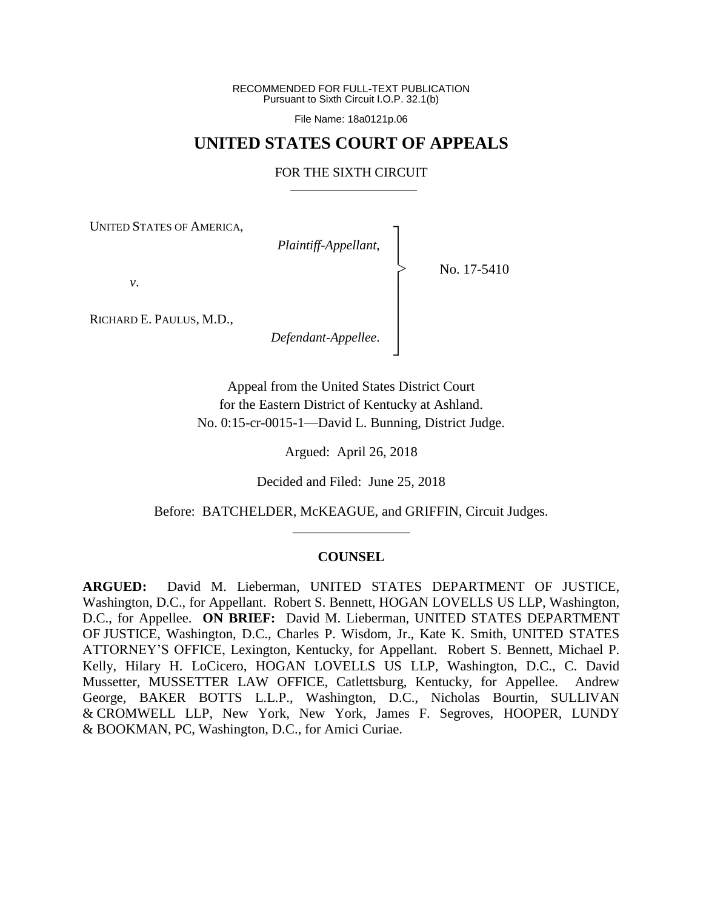RECOMMENDED FOR FULL-TEXT PUBLICATION Pursuant to Sixth Circuit I.O.P. 32.1(b)

File Name: 18a0121p.06

# **UNITED STATES COURT OF APPEALS**

#### FOR THE SIXTH CIRCUIT

┐ │ │ │ │ │ │ │ ┘

|<br>|<br>|

UNITED STATES OF AMERICA,

*Plaintiff-Appellant*,

No. 17-5410

*v*.

RICHARD E. PAULUS, M.D.,

*Defendant-Appellee*.

Appeal from the United States District Court for the Eastern District of Kentucky at Ashland. No. 0:15-cr-0015-1—David L. Bunning, District Judge.

Argued: April 26, 2018

Decided and Filed: June 25, 2018

Before: BATCHELDER, McKEAGUE, and GRIFFIN, Circuit Judges. \_\_\_\_\_\_\_\_\_\_\_\_\_\_\_\_\_

#### **COUNSEL**

**ARGUED:** David M. Lieberman, UNITED STATES DEPARTMENT OF JUSTICE, Washington, D.C., for Appellant. Robert S. Bennett, HOGAN LOVELLS US LLP, Washington, D.C., for Appellee. **ON BRIEF:** David M. Lieberman, UNITED STATES DEPARTMENT OF JUSTICE, Washington, D.C., Charles P. Wisdom, Jr., Kate K. Smith, UNITED STATES ATTORNEY'S OFFICE, Lexington, Kentucky, for Appellant. Robert S. Bennett, Michael P. Kelly, Hilary H. LoCicero, HOGAN LOVELLS US LLP, Washington, D.C., C. David Mussetter, MUSSETTER LAW OFFICE, Catlettsburg, Kentucky, for Appellee. Andrew George, BAKER BOTTS L.L.P., Washington, D.C., Nicholas Bourtin, SULLIVAN & CROMWELL LLP, New York, New York, James F. Segroves, HOOPER, LUNDY & BOOKMAN, PC, Washington, D.C., for Amici Curiae.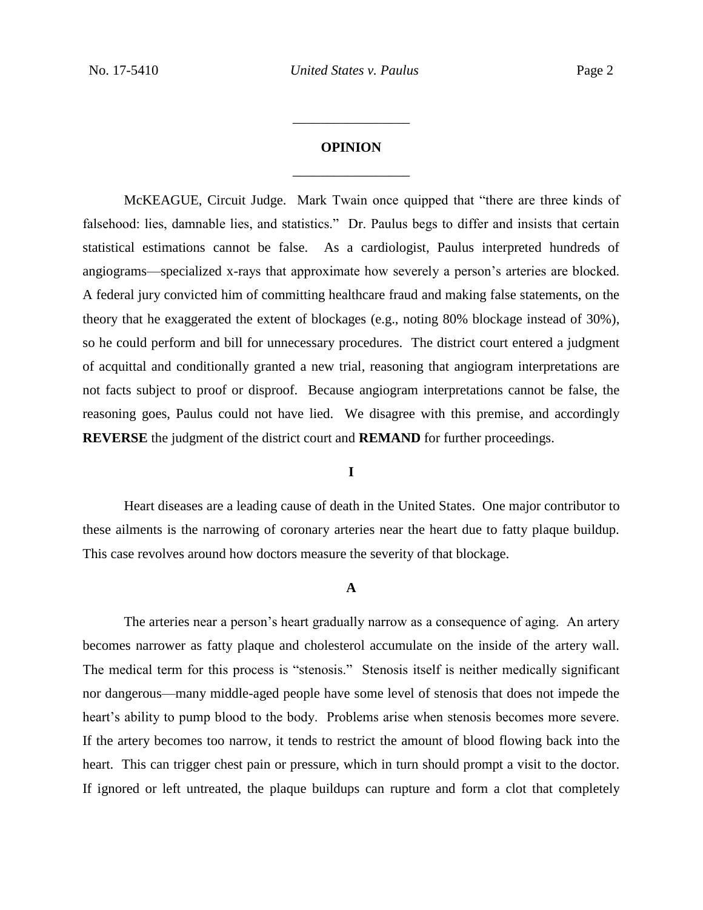# **OPINION** \_\_\_\_\_\_\_\_\_\_\_\_\_\_\_\_\_

\_\_\_\_\_\_\_\_\_\_\_\_\_\_\_\_\_

McKEAGUE, Circuit Judge. Mark Twain once quipped that "there are three kinds of falsehood: lies, damnable lies, and statistics." Dr. Paulus begs to differ and insists that certain statistical estimations cannot be false. As a cardiologist, Paulus interpreted hundreds of angiograms—specialized x-rays that approximate how severely a person's arteries are blocked. A federal jury convicted him of committing healthcare fraud and making false statements, on the theory that he exaggerated the extent of blockages (e.g., noting 80% blockage instead of 30%), so he could perform and bill for unnecessary procedures. The district court entered a judgment of acquittal and conditionally granted a new trial, reasoning that angiogram interpretations are not facts subject to proof or disproof. Because angiogram interpretations cannot be false, the reasoning goes, Paulus could not have lied. We disagree with this premise, and accordingly **REVERSE** the judgment of the district court and **REMAND** for further proceedings.

### **I**

Heart diseases are a leading cause of death in the United States. One major contributor to these ailments is the narrowing of coronary arteries near the heart due to fatty plaque buildup. This case revolves around how doctors measure the severity of that blockage.

#### **A**

The arteries near a person's heart gradually narrow as a consequence of aging. An artery becomes narrower as fatty plaque and cholesterol accumulate on the inside of the artery wall. The medical term for this process is "stenosis." Stenosis itself is neither medically significant nor dangerous—many middle-aged people have some level of stenosis that does not impede the heart's ability to pump blood to the body. Problems arise when stenosis becomes more severe. If the artery becomes too narrow, it tends to restrict the amount of blood flowing back into the heart. This can trigger chest pain or pressure, which in turn should prompt a visit to the doctor. If ignored or left untreated, the plaque buildups can rupture and form a clot that completely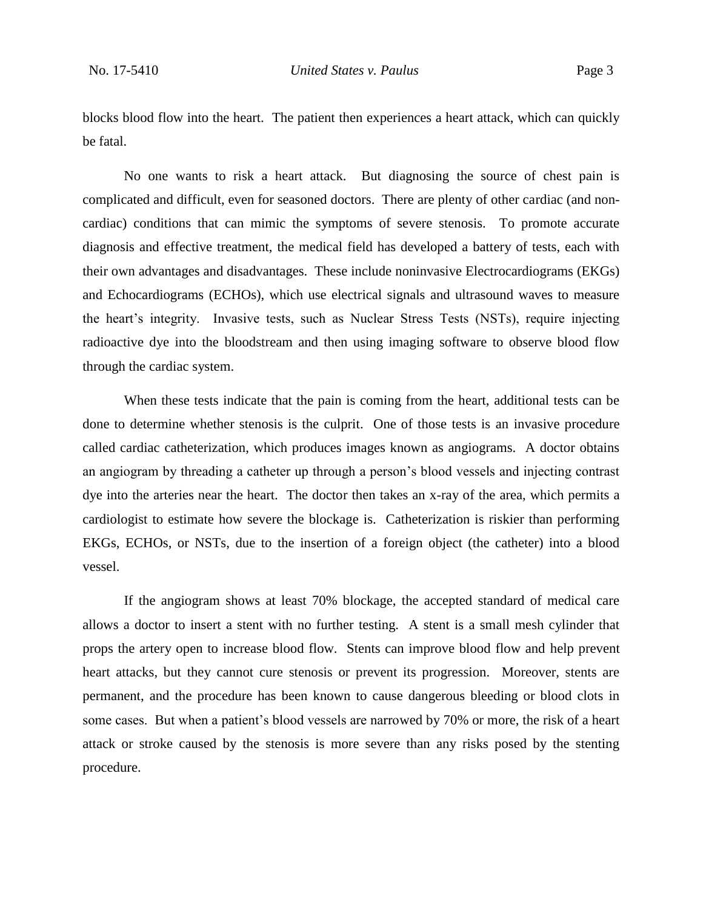blocks blood flow into the heart. The patient then experiences a heart attack, which can quickly be fatal.

No one wants to risk a heart attack. But diagnosing the source of chest pain is complicated and difficult, even for seasoned doctors. There are plenty of other cardiac (and noncardiac) conditions that can mimic the symptoms of severe stenosis. To promote accurate diagnosis and effective treatment, the medical field has developed a battery of tests, each with their own advantages and disadvantages. These include noninvasive Electrocardiograms (EKGs) and Echocardiograms (ECHOs), which use electrical signals and ultrasound waves to measure the heart's integrity. Invasive tests, such as Nuclear Stress Tests (NSTs), require injecting radioactive dye into the bloodstream and then using imaging software to observe blood flow through the cardiac system.

When these tests indicate that the pain is coming from the heart, additional tests can be done to determine whether stenosis is the culprit. One of those tests is an invasive procedure called cardiac catheterization, which produces images known as angiograms. A doctor obtains an angiogram by threading a catheter up through a person's blood vessels and injecting contrast dye into the arteries near the heart. The doctor then takes an x-ray of the area, which permits a cardiologist to estimate how severe the blockage is. Catheterization is riskier than performing EKGs, ECHOs, or NSTs, due to the insertion of a foreign object (the catheter) into a blood vessel.

If the angiogram shows at least 70% blockage, the accepted standard of medical care allows a doctor to insert a stent with no further testing. A stent is a small mesh cylinder that props the artery open to increase blood flow. Stents can improve blood flow and help prevent heart attacks, but they cannot cure stenosis or prevent its progression. Moreover, stents are permanent, and the procedure has been known to cause dangerous bleeding or blood clots in some cases. But when a patient's blood vessels are narrowed by 70% or more, the risk of a heart attack or stroke caused by the stenosis is more severe than any risks posed by the stenting procedure.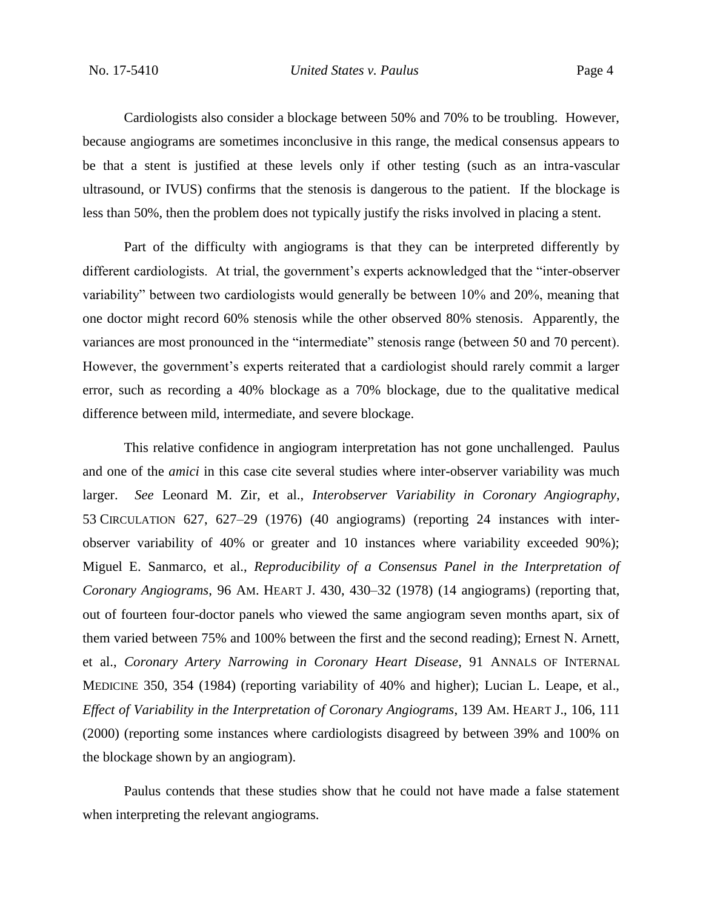Cardiologists also consider a blockage between 50% and 70% to be troubling. However, because angiograms are sometimes inconclusive in this range, the medical consensus appears to be that a stent is justified at these levels only if other testing (such as an intra-vascular ultrasound, or IVUS) confirms that the stenosis is dangerous to the patient. If the blockage is less than 50%, then the problem does not typically justify the risks involved in placing a stent.

Part of the difficulty with angiograms is that they can be interpreted differently by different cardiologists. At trial, the government's experts acknowledged that the "inter-observer variability" between two cardiologists would generally be between 10% and 20%, meaning that one doctor might record 60% stenosis while the other observed 80% stenosis. Apparently, the variances are most pronounced in the "intermediate" stenosis range (between 50 and 70 percent). However, the government's experts reiterated that a cardiologist should rarely commit a larger error, such as recording a 40% blockage as a 70% blockage, due to the qualitative medical difference between mild, intermediate, and severe blockage.

This relative confidence in angiogram interpretation has not gone unchallenged. Paulus and one of the *amici* in this case cite several studies where inter-observer variability was much larger. *See* Leonard M. Zir, et al., *Interobserver Variability in Coronary Angiography*, 53 CIRCULATION 627, 627–29 (1976) (40 angiograms) (reporting 24 instances with interobserver variability of 40% or greater and 10 instances where variability exceeded 90%); Miguel E. Sanmarco, et al., *Reproducibility of a Consensus Panel in the Interpretation of Coronary Angiograms*, 96 AM. HEART J. 430, 430–32 (1978) (14 angiograms) (reporting that, out of fourteen four-doctor panels who viewed the same angiogram seven months apart, six of them varied between 75% and 100% between the first and the second reading); Ernest N. Arnett, et al., *Coronary Artery Narrowing in Coronary Heart Disease*, 91 ANNALS OF INTERNAL MEDICINE 350, 354 (1984) (reporting variability of 40% and higher); Lucian L. Leape, et al., *Effect of Variability in the Interpretation of Coronary Angiograms*, 139 AM. HEART J., 106, 111 (2000) (reporting some instances where cardiologists disagreed by between 39% and 100% on the blockage shown by an angiogram).

Paulus contends that these studies show that he could not have made a false statement when interpreting the relevant angiograms.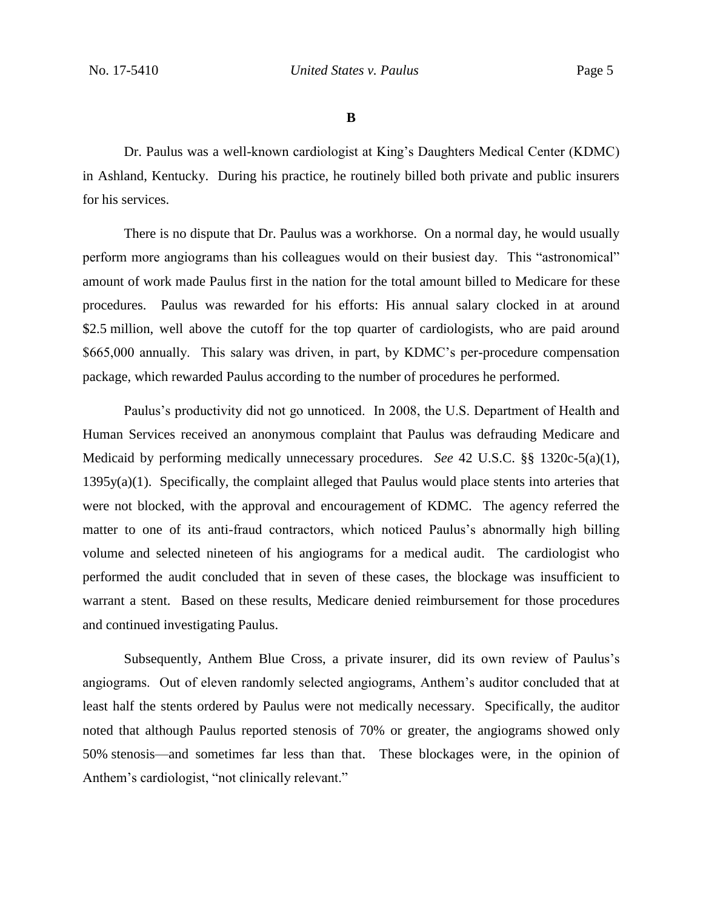**B**

Dr. Paulus was a well-known cardiologist at King's Daughters Medical Center (KDMC) in Ashland, Kentucky. During his practice, he routinely billed both private and public insurers for his services.

There is no dispute that Dr. Paulus was a workhorse. On a normal day, he would usually perform more angiograms than his colleagues would on their busiest day. This "astronomical" amount of work made Paulus first in the nation for the total amount billed to Medicare for these procedures. Paulus was rewarded for his efforts: His annual salary clocked in at around \$2.5 million, well above the cutoff for the top quarter of cardiologists, who are paid around \$665,000 annually. This salary was driven, in part, by KDMC's per-procedure compensation package, which rewarded Paulus according to the number of procedures he performed.

Paulus's productivity did not go unnoticed. In 2008, the U.S. Department of Health and Human Services received an anonymous complaint that Paulus was defrauding Medicare and Medicaid by performing medically unnecessary procedures. *See* 42 U.S.C. §§ 1320c-5(a)(1),  $1395y(a)(1)$ . Specifically, the complaint alleged that Paulus would place stents into arteries that were not blocked, with the approval and encouragement of KDMC. The agency referred the matter to one of its anti-fraud contractors, which noticed Paulus's abnormally high billing volume and selected nineteen of his angiograms for a medical audit. The cardiologist who performed the audit concluded that in seven of these cases, the blockage was insufficient to warrant a stent. Based on these results, Medicare denied reimbursement for those procedures and continued investigating Paulus.

Subsequently, Anthem Blue Cross, a private insurer, did its own review of Paulus's angiograms. Out of eleven randomly selected angiograms, Anthem's auditor concluded that at least half the stents ordered by Paulus were not medically necessary. Specifically, the auditor noted that although Paulus reported stenosis of 70% or greater, the angiograms showed only 50% stenosis—and sometimes far less than that. These blockages were, in the opinion of Anthem's cardiologist, "not clinically relevant."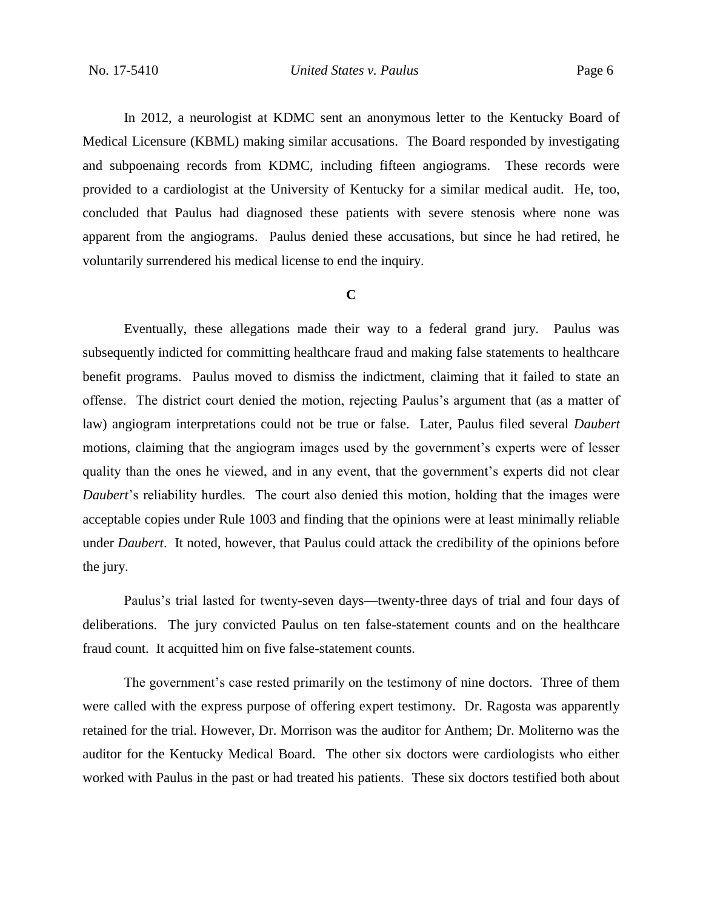In 2012, a neurologist at KDMC sent an anonymous letter to the Kentucky Board of Medical Licensure (KBML) making similar accusations. The Board responded by investigating and subpoenaing records from KDMC, including fifteen angiograms. These records were provided to a cardiologist at the University of Kentucky for a similar medical audit. He, too, concluded that Paulus had diagnosed these patients with severe stenosis where none was apparent from the angiograms. Paulus denied these accusations, but since he had retired, he voluntarily surrendered his medical license to end the inquiry.

#### **C**

Eventually, these allegations made their way to a federal grand jury. Paulus was subsequently indicted for committing healthcare fraud and making false statements to healthcare benefit programs. Paulus moved to dismiss the indictment, claiming that it failed to state an offense. The district court denied the motion, rejecting Paulus's argument that (as a matter of law) angiogram interpretations could not be true or false. Later, Paulus filed several *Daubert*  motions, claiming that the angiogram images used by the government's experts were of lesser quality than the ones he viewed, and in any event, that the government's experts did not clear *Daubert*'s reliability hurdles. The court also denied this motion, holding that the images were acceptable copies under Rule 1003 and finding that the opinions were at least minimally reliable under *Daubert*. It noted, however, that Paulus could attack the credibility of the opinions before the jury.

Paulus's trial lasted for twenty-seven days—twenty-three days of trial and four days of deliberations. The jury convicted Paulus on ten false-statement counts and on the healthcare fraud count. It acquitted him on five false-statement counts.

The government's case rested primarily on the testimony of nine doctors. Three of them were called with the express purpose of offering expert testimony. Dr. Ragosta was apparently retained for the trial. However, Dr. Morrison was the auditor for Anthem; Dr. Moliterno was the auditor for the Kentucky Medical Board. The other six doctors were cardiologists who either worked with Paulus in the past or had treated his patients. These six doctors testified both about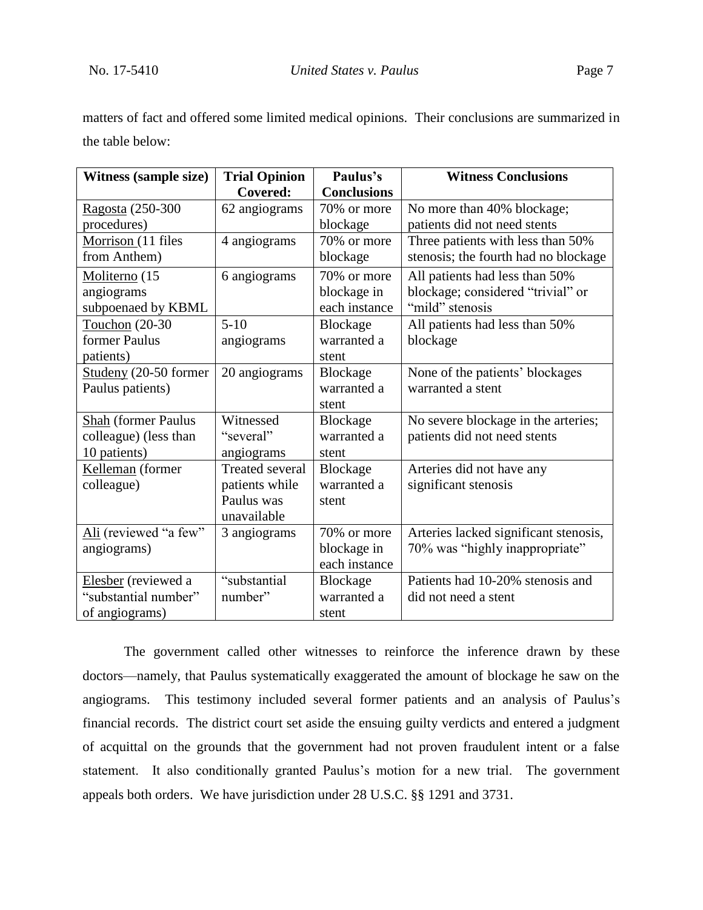matters of fact and offered some limited medical opinions. Their conclusions are summarized in the table below:

| <b>Witness (sample size)</b> | <b>Trial Opinion</b>   | Paulus's           | <b>Witness Conclusions</b>            |
|------------------------------|------------------------|--------------------|---------------------------------------|
|                              | Covered:               | <b>Conclusions</b> |                                       |
| Ragosta (250-300             | 62 angiograms          | 70% or more        | No more than 40% blockage;            |
| procedures)                  |                        | blockage           | patients did not need stents          |
| Morrison (11 files           | 4 angiograms           | 70% or more        | Three patients with less than 50%     |
| from Anthem)                 |                        | blockage           | stenosis; the fourth had no blockage  |
| Moliterno (15                | 6 angiograms           | 70% or more        | All patients had less than 50%        |
| angiograms                   |                        | blockage in        | blockage; considered "trivial" or     |
| subpoenaed by KBML           |                        | each instance      | "mild" stenosis                       |
| Touchon (20-30               | $5 - 10$               | Blockage           | All patients had less than 50%        |
| former Paulus                | angiograms             | warranted a        | blockage                              |
| patients)                    |                        | stent              |                                       |
| Studeny (20-50 former        | 20 angiograms          | Blockage           | None of the patients' blockages       |
| Paulus patients)             |                        | warranted a        | warranted a stent                     |
|                              |                        | stent              |                                       |
| <b>Shah</b> (former Paulus   | Witnessed              | Blockage           | No severe blockage in the arteries;   |
| colleague) (less than        | "several"              | warranted a        | patients did not need stents          |
| 10 patients)                 | angiograms             | stent              |                                       |
| Kelleman (former             | <b>Treated several</b> | Blockage           | Arteries did not have any             |
| colleague)                   | patients while         | warranted a        | significant stenosis                  |
|                              | Paulus was             | stent              |                                       |
|                              | unavailable            |                    |                                       |
| Ali (reviewed "a few"        | 3 angiograms           | 70% or more        | Arteries lacked significant stenosis, |
| angiograms)                  |                        | blockage in        | 70% was "highly inappropriate"        |
|                              |                        | each instance      |                                       |
| Elesber (reviewed a          | "substantial           | Blockage           | Patients had 10-20% stenosis and      |
| "substantial number"         | number"                | warranted a        | did not need a stent                  |
| of angiograms)               |                        | stent              |                                       |

The government called other witnesses to reinforce the inference drawn by these doctors—namely, that Paulus systematically exaggerated the amount of blockage he saw on the angiograms. This testimony included several former patients and an analysis of Paulus's financial records. The district court set aside the ensuing guilty verdicts and entered a judgment of acquittal on the grounds that the government had not proven fraudulent intent or a false statement. It also conditionally granted Paulus's motion for a new trial. The government appeals both orders. We have jurisdiction under 28 U.S.C. §§ 1291 and 3731.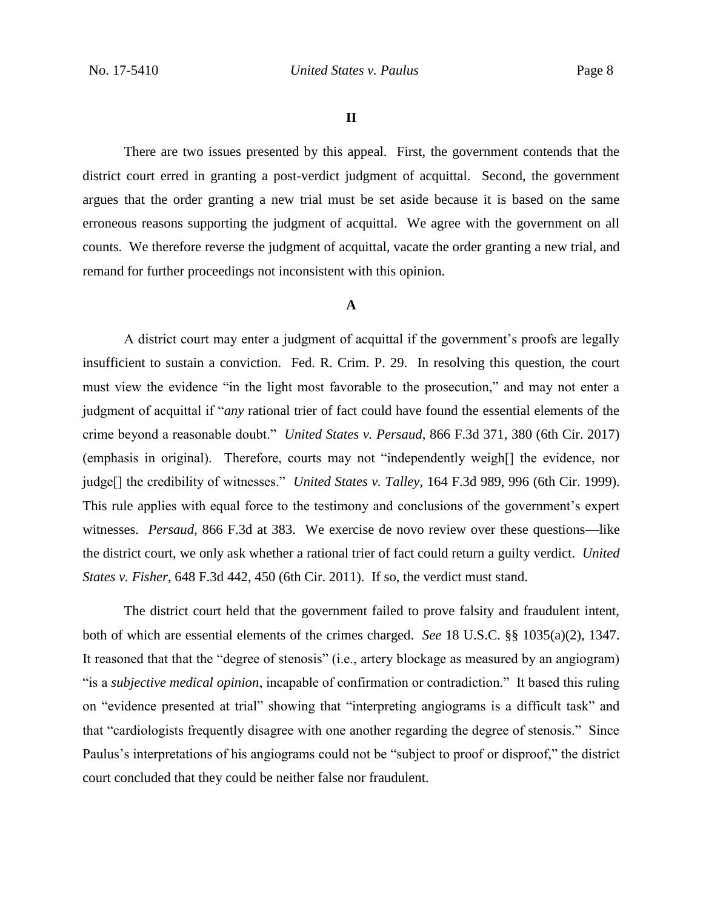#### **II**

There are two issues presented by this appeal. First, the government contends that the district court erred in granting a post-verdict judgment of acquittal. Second, the government argues that the order granting a new trial must be set aside because it is based on the same erroneous reasons supporting the judgment of acquittal. We agree with the government on all counts. We therefore reverse the judgment of acquittal, vacate the order granting a new trial, and remand for further proceedings not inconsistent with this opinion.

## **A**

A district court may enter a judgment of acquittal if the government's proofs are legally insufficient to sustain a conviction. Fed. R. Crim. P. 29. In resolving this question, the court must view the evidence "in the light most favorable to the prosecution," and may not enter a judgment of acquittal if "*any* rational trier of fact could have found the essential elements of the crime beyond a reasonable doubt." *United States v. Persaud*, 866 F.3d 371, 380 (6th Cir. 2017) (emphasis in original). Therefore, courts may not "independently weigh[] the evidence, nor judge[] the credibility of witnesses." *United States v. Talley*, 164 F.3d 989, 996 (6th Cir. 1999). This rule applies with equal force to the testimony and conclusions of the government's expert witnesses. *Persaud*, 866 F.3d at 383. We exercise de novo review over these questions—like the district court, we only ask whether a rational trier of fact could return a guilty verdict. *United States v. Fisher*, 648 F.3d 442, 450 (6th Cir. 2011). If so, the verdict must stand.

The district court held that the government failed to prove falsity and fraudulent intent, both of which are essential elements of the crimes charged. *See* 18 U.S.C. §§ 1035(a)(2), 1347. It reasoned that that the "degree of stenosis" (i.e., artery blockage as measured by an angiogram) "is a *subjective medical opinion*, incapable of confirmation or contradiction." It based this ruling on "evidence presented at trial" showing that "interpreting angiograms is a difficult task" and that "cardiologists frequently disagree with one another regarding the degree of stenosis." Since Paulus's interpretations of his angiograms could not be "subject to proof or disproof," the district court concluded that they could be neither false nor fraudulent.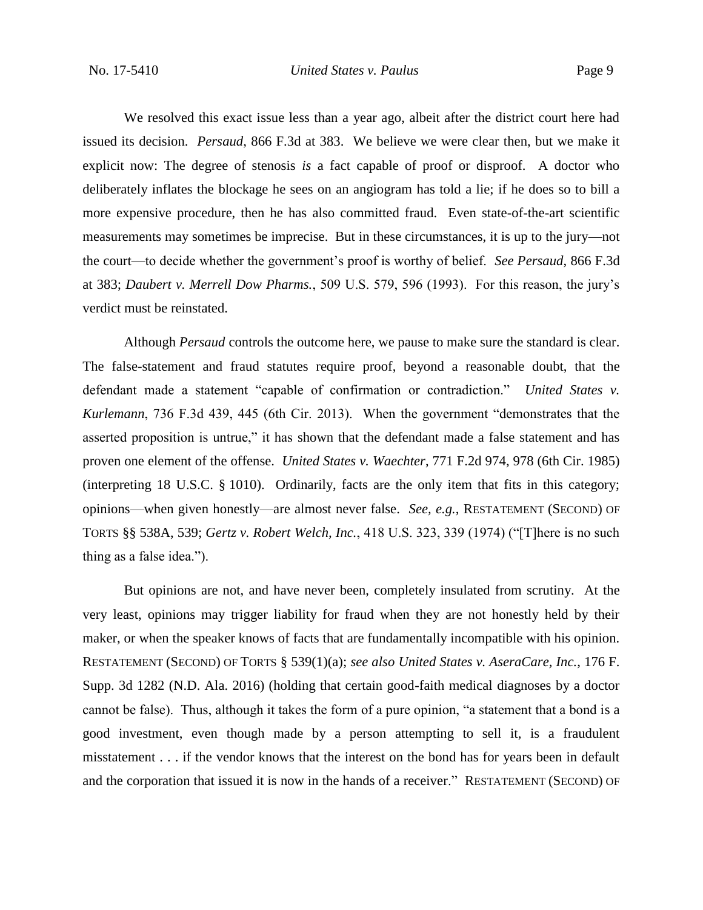We resolved this exact issue less than a year ago, albeit after the district court here had issued its decision. *Persaud*, 866 F.3d at 383.We believe we were clear then, but we make it explicit now: The degree of stenosis *is* a fact capable of proof or disproof. A doctor who deliberately inflates the blockage he sees on an angiogram has told a lie; if he does so to bill a more expensive procedure, then he has also committed fraud. Even state-of-the-art scientific measurements may sometimes be imprecise. But in these circumstances, it is up to the jury—not the court—to decide whether the government's proof is worthy of belief. *See Persaud*, 866 F.3d at 383; *Daubert v. Merrell Dow Pharms.*, 509 U.S. 579, 596 (1993). For this reason, the jury's verdict must be reinstated.

Although *Persaud* controls the outcome here, we pause to make sure the standard is clear. The false-statement and fraud statutes require proof, beyond a reasonable doubt, that the defendant made a statement "capable of confirmation or contradiction." *United States v. Kurlemann*, 736 F.3d 439, 445 (6th Cir. 2013). When the government "demonstrates that the asserted proposition is untrue," it has shown that the defendant made a false statement and has proven one element of the offense. *United States v. Waechter*, 771 F.2d 974, 978 (6th Cir. 1985) (interpreting 18 U.S.C. § 1010). Ordinarily, facts are the only item that fits in this category; opinions—when given honestly—are almost never false. *See, e.g.*, RESTATEMENT (SECOND) OF TORTS §§ 538A, 539; *Gertz v. Robert Welch, Inc.*, 418 U.S. 323, 339 (1974) ("[T]here is no such thing as a false idea.").

But opinions are not, and have never been, completely insulated from scrutiny. At the very least, opinions may trigger liability for fraud when they are not honestly held by their maker, or when the speaker knows of facts that are fundamentally incompatible with his opinion. RESTATEMENT (SECOND) OF TORTS § 539(1)(a); *see also United States v. AseraCare, Inc.*, 176 F. Supp. 3d 1282 (N.D. Ala. 2016) (holding that certain good-faith medical diagnoses by a doctor cannot be false). Thus, although it takes the form of a pure opinion, "a statement that a bond is a good investment, even though made by a person attempting to sell it, is a fraudulent misstatement . . . if the vendor knows that the interest on the bond has for years been in default and the corporation that issued it is now in the hands of a receiver." RESTATEMENT (SECOND) OF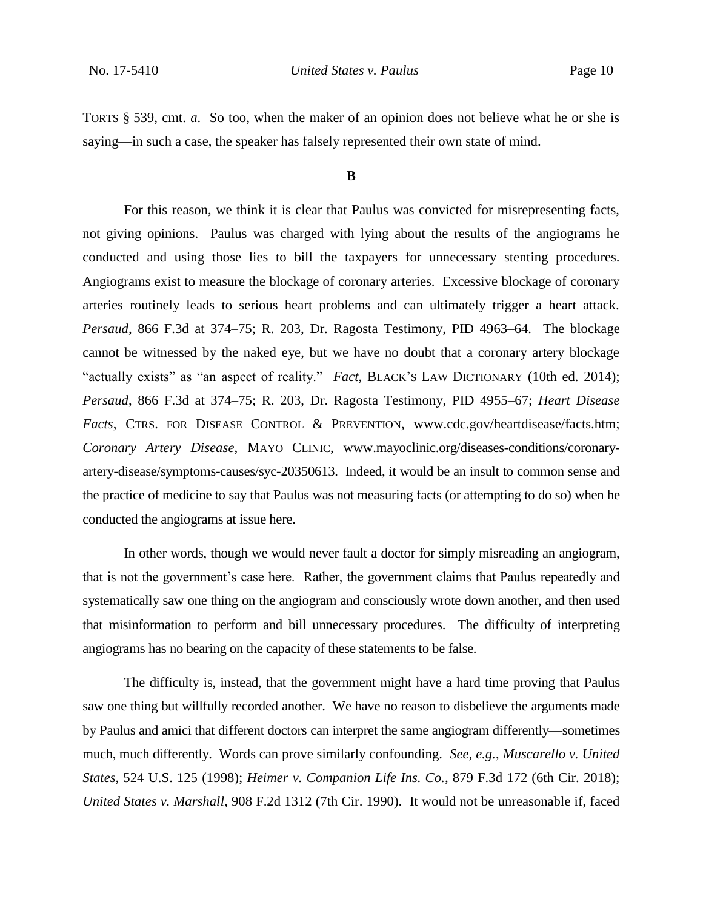TORTS § 539, cmt. *a*. So too, when the maker of an opinion does not believe what he or she is saying—in such a case, the speaker has falsely represented their own state of mind.

#### **B**

For this reason, we think it is clear that Paulus was convicted for misrepresenting facts, not giving opinions. Paulus was charged with lying about the results of the angiograms he conducted and using those lies to bill the taxpayers for unnecessary stenting procedures. Angiograms exist to measure the blockage of coronary arteries. Excessive blockage of coronary arteries routinely leads to serious heart problems and can ultimately trigger a heart attack. *Persaud*, 866 F.3d at 374–75; R. 203, Dr. Ragosta Testimony, PID 4963–64. The blockage cannot be witnessed by the naked eye, but we have no doubt that a coronary artery blockage "actually exists" as "an aspect of reality." *Fact*, BLACK'S LAW DICTIONARY (10th ed. 2014); *Persaud*, 866 F.3d at 374–75; R. 203, Dr. Ragosta Testimony, PID 4955–67; *Heart Disease Facts*, CTRS. FOR DISEASE CONTROL & PREVENTION, www.cdc.gov/heartdisease/facts.htm; *Coronary Artery Disease*, MAYO CLINIC, www.mayoclinic.org/diseases-conditions/coronaryartery-disease/symptoms-causes/syc-20350613. Indeed, it would be an insult to common sense and the practice of medicine to say that Paulus was not measuring facts (or attempting to do so) when he conducted the angiograms at issue here.

In other words, though we would never fault a doctor for simply misreading an angiogram, that is not the government's case here. Rather, the government claims that Paulus repeatedly and systematically saw one thing on the angiogram and consciously wrote down another, and then used that misinformation to perform and bill unnecessary procedures. The difficulty of interpreting angiograms has no bearing on the capacity of these statements to be false.

The difficulty is, instead, that the government might have a hard time proving that Paulus saw one thing but willfully recorded another. We have no reason to disbelieve the arguments made by Paulus and amici that different doctors can interpret the same angiogram differently—sometimes much, much differently. Words can prove similarly confounding. *See, e.g.*, *Muscarello v. United States*, 524 U.S. 125 (1998); *Heimer v. Companion Life Ins. Co.*, 879 F.3d 172 (6th Cir. 2018); *United States v. Marshall*, 908 F.2d 1312 (7th Cir. 1990). It would not be unreasonable if, faced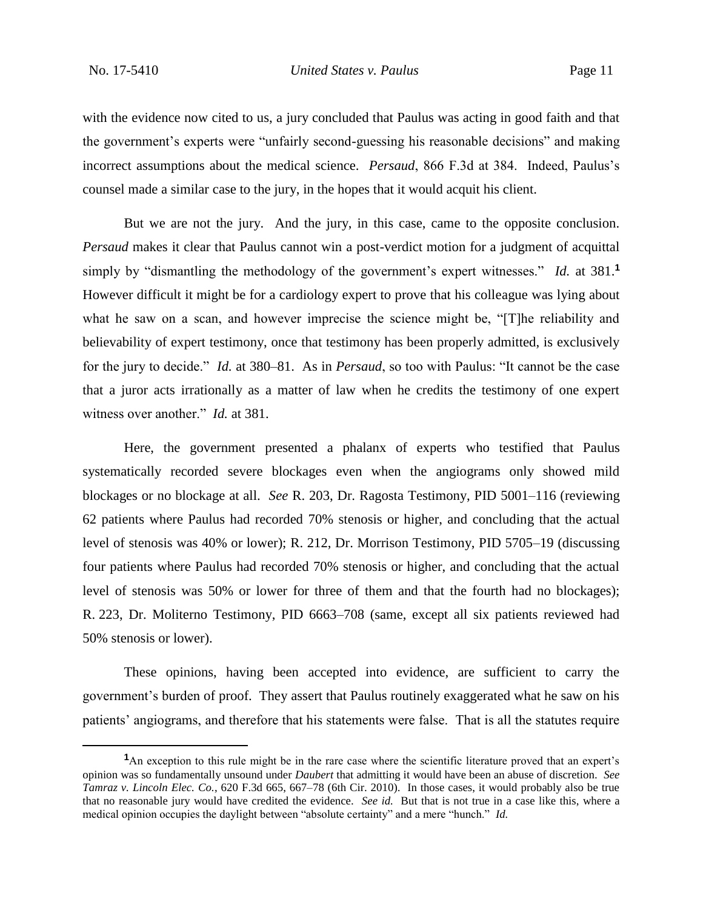$\overline{a}$ 

with the evidence now cited to us, a jury concluded that Paulus was acting in good faith and that the government's experts were "unfairly second-guessing his reasonable decisions" and making incorrect assumptions about the medical science. *Persaud*, 866 F.3d at 384. Indeed, Paulus's counsel made a similar case to the jury, in the hopes that it would acquit his client.

But we are not the jury. And the jury, in this case, came to the opposite conclusion. *Persaud* makes it clear that Paulus cannot win a post-verdict motion for a judgment of acquittal simply by "dismantling the methodology of the government's expert witnesses." *Id.* at 381.**<sup>1</sup>** However difficult it might be for a cardiology expert to prove that his colleague was lying about what he saw on a scan, and however imprecise the science might be, "[T]he reliability and believability of expert testimony, once that testimony has been properly admitted, is exclusively for the jury to decide." *Id.* at 380–81. As in *Persaud*, so too with Paulus: "It cannot be the case that a juror acts irrationally as a matter of law when he credits the testimony of one expert witness over another." *Id.* at 381.

Here, the government presented a phalanx of experts who testified that Paulus systematically recorded severe blockages even when the angiograms only showed mild blockages or no blockage at all. *See* R. 203, Dr. Ragosta Testimony, PID 5001–116 (reviewing 62 patients where Paulus had recorded 70% stenosis or higher, and concluding that the actual level of stenosis was 40% or lower); R. 212, Dr. Morrison Testimony, PID 5705–19 (discussing four patients where Paulus had recorded 70% stenosis or higher, and concluding that the actual level of stenosis was 50% or lower for three of them and that the fourth had no blockages); R. 223, Dr. Moliterno Testimony, PID 6663–708 (same, except all six patients reviewed had 50% stenosis or lower).

These opinions, having been accepted into evidence, are sufficient to carry the government's burden of proof. They assert that Paulus routinely exaggerated what he saw on his patients' angiograms, and therefore that his statements were false. That is all the statutes require

<sup>&</sup>lt;sup>1</sup>An exception to this rule might be in the rare case where the scientific literature proved that an expert's opinion was so fundamentally unsound under *Daubert* that admitting it would have been an abuse of discretion. *See Tamraz v. Lincoln Elec. Co.*, 620 F.3d 665, 667–78 (6th Cir. 2010). In those cases, it would probably also be true that no reasonable jury would have credited the evidence. *See id.* But that is not true in a case like this, where a medical opinion occupies the daylight between "absolute certainty" and a mere "hunch." *Id.*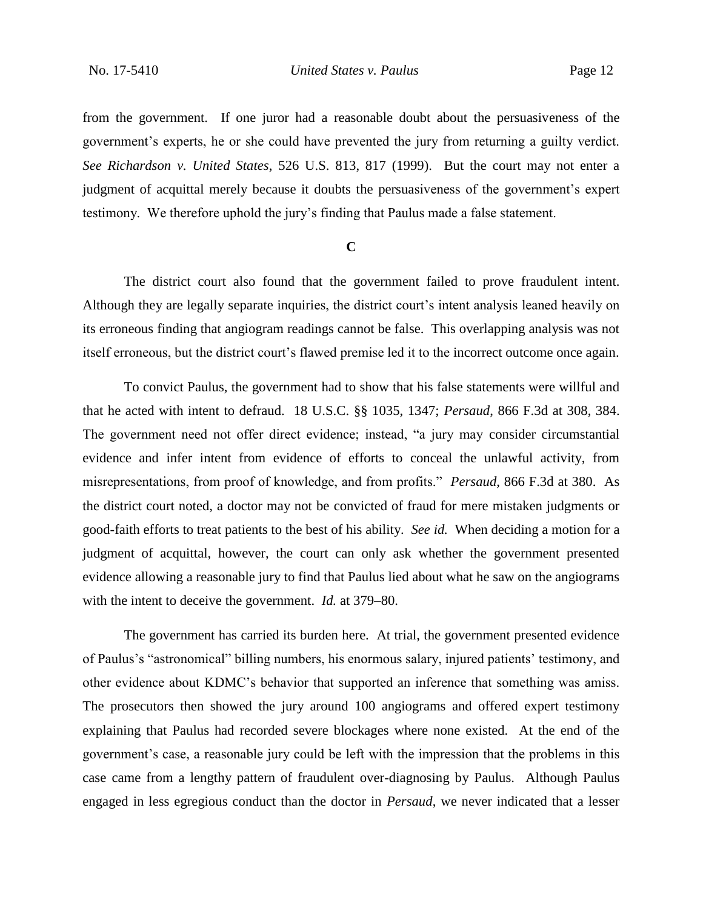from the government. If one juror had a reasonable doubt about the persuasiveness of the government's experts, he or she could have prevented the jury from returning a guilty verdict. *See Richardson v. United States*, 526 U.S. 813, 817 (1999). But the court may not enter a judgment of acquittal merely because it doubts the persuasiveness of the government's expert testimony. We therefore uphold the jury's finding that Paulus made a false statement.

#### **C**

The district court also found that the government failed to prove fraudulent intent. Although they are legally separate inquiries, the district court's intent analysis leaned heavily on its erroneous finding that angiogram readings cannot be false. This overlapping analysis was not itself erroneous, but the district court's flawed premise led it to the incorrect outcome once again.

To convict Paulus, the government had to show that his false statements were willful and that he acted with intent to defraud. 18 U.S.C. §§ 1035, 1347; *Persaud*, 866 F.3d at 308, 384. The government need not offer direct evidence; instead, "a jury may consider circumstantial evidence and infer intent from evidence of efforts to conceal the unlawful activity, from misrepresentations, from proof of knowledge, and from profits." *Persaud*, 866 F.3d at 380. As the district court noted, a doctor may not be convicted of fraud for mere mistaken judgments or good-faith efforts to treat patients to the best of his ability. *See id.* When deciding a motion for a judgment of acquittal, however, the court can only ask whether the government presented evidence allowing a reasonable jury to find that Paulus lied about what he saw on the angiograms with the intent to deceive the government. *Id.* at 379–80.

The government has carried its burden here. At trial, the government presented evidence of Paulus's "astronomical" billing numbers, his enormous salary, injured patients' testimony, and other evidence about KDMC's behavior that supported an inference that something was amiss. The prosecutors then showed the jury around 100 angiograms and offered expert testimony explaining that Paulus had recorded severe blockages where none existed. At the end of the government's case, a reasonable jury could be left with the impression that the problems in this case came from a lengthy pattern of fraudulent over-diagnosing by Paulus. Although Paulus engaged in less egregious conduct than the doctor in *Persaud*, we never indicated that a lesser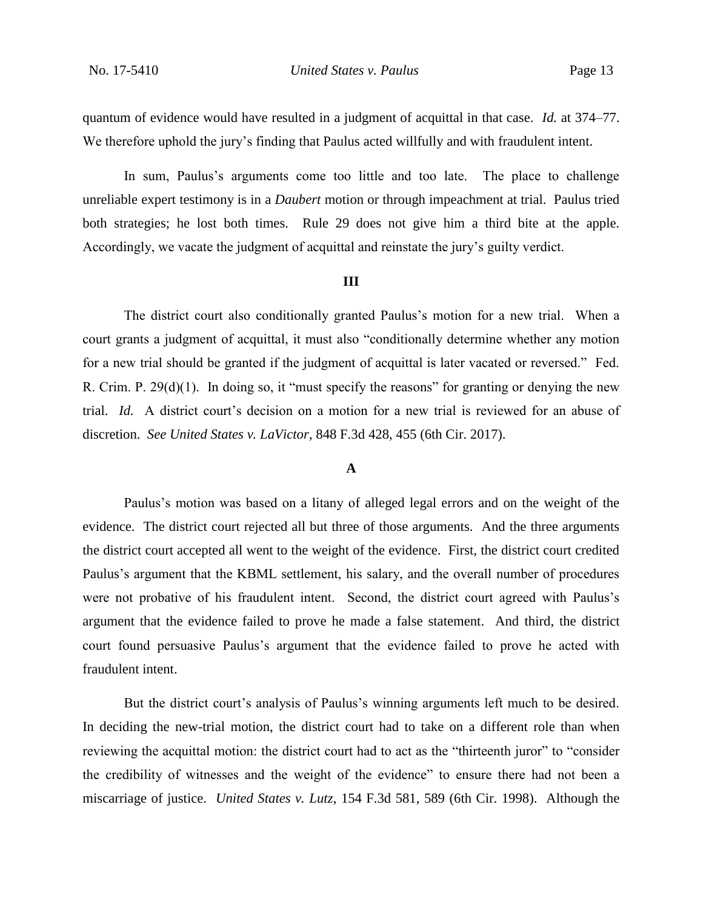quantum of evidence would have resulted in a judgment of acquittal in that case. *Id.* at 374–77. We therefore uphold the jury's finding that Paulus acted willfully and with fraudulent intent.

In sum, Paulus's arguments come too little and too late. The place to challenge unreliable expert testimony is in a *Daubert* motion or through impeachment at trial. Paulus tried both strategies; he lost both times. Rule 29 does not give him a third bite at the apple. Accordingly, we vacate the judgment of acquittal and reinstate the jury's guilty verdict.

#### **III**

The district court also conditionally granted Paulus's motion for a new trial. When a court grants a judgment of acquittal, it must also "conditionally determine whether any motion for a new trial should be granted if the judgment of acquittal is later vacated or reversed." Fed. R. Crim. P. 29(d)(1). In doing so, it "must specify the reasons" for granting or denying the new trial. *Id.* A district court's decision on a motion for a new trial is reviewed for an abuse of discretion. *See United States v. LaVictor*, 848 F.3d 428, 455 (6th Cir. 2017).

#### **A**

Paulus's motion was based on a litany of alleged legal errors and on the weight of the evidence. The district court rejected all but three of those arguments. And the three arguments the district court accepted all went to the weight of the evidence. First, the district court credited Paulus's argument that the KBML settlement, his salary, and the overall number of procedures were not probative of his fraudulent intent. Second, the district court agreed with Paulus's argument that the evidence failed to prove he made a false statement. And third, the district court found persuasive Paulus's argument that the evidence failed to prove he acted with fraudulent intent.

But the district court's analysis of Paulus's winning arguments left much to be desired. In deciding the new-trial motion, the district court had to take on a different role than when reviewing the acquittal motion: the district court had to act as the "thirteenth juror" to "consider the credibility of witnesses and the weight of the evidence" to ensure there had not been a miscarriage of justice. *United States v. Lutz*, 154 F.3d 581, 589 (6th Cir. 1998). Although the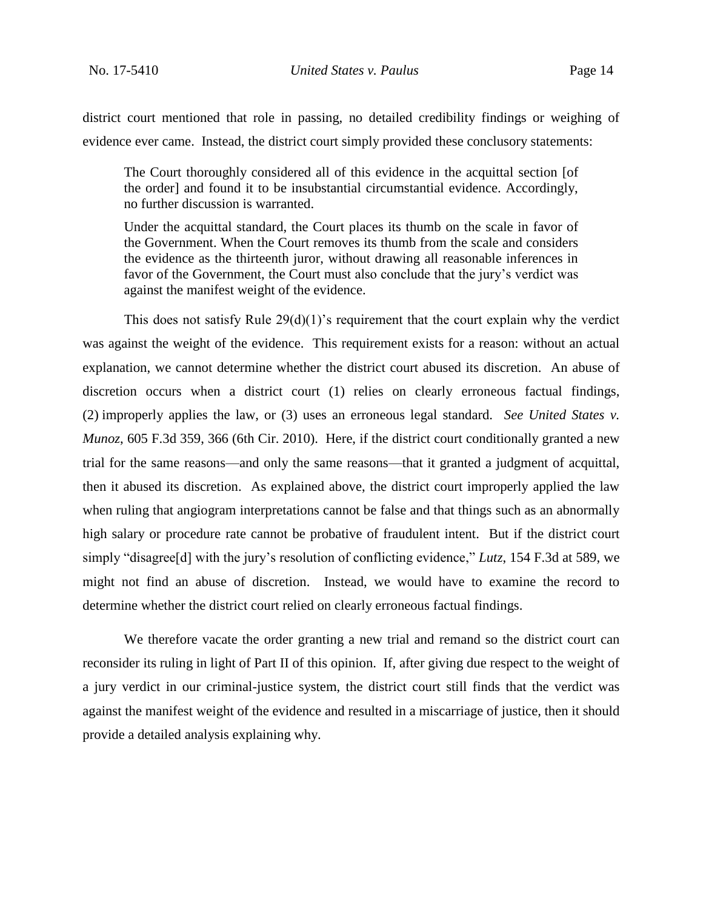district court mentioned that role in passing, no detailed credibility findings or weighing of evidence ever came. Instead, the district court simply provided these conclusory statements:

The Court thoroughly considered all of this evidence in the acquittal section [of the order] and found it to be insubstantial circumstantial evidence. Accordingly, no further discussion is warranted.

Under the acquittal standard, the Court places its thumb on the scale in favor of the Government. When the Court removes its thumb from the scale and considers the evidence as the thirteenth juror, without drawing all reasonable inferences in favor of the Government, the Court must also conclude that the jury's verdict was against the manifest weight of the evidence.

This does not satisfy Rule  $29(d)(1)$ 's requirement that the court explain why the verdict was against the weight of the evidence. This requirement exists for a reason: without an actual explanation, we cannot determine whether the district court abused its discretion. An abuse of discretion occurs when a district court (1) relies on clearly erroneous factual findings, (2) improperly applies the law, or (3) uses an erroneous legal standard. *See United States v. Munoz*, 605 F.3d 359, 366 (6th Cir. 2010). Here, if the district court conditionally granted a new trial for the same reasons—and only the same reasons—that it granted a judgment of acquittal, then it abused its discretion. As explained above, the district court improperly applied the law when ruling that angiogram interpretations cannot be false and that things such as an abnormally high salary or procedure rate cannot be probative of fraudulent intent. But if the district court simply "disagree[d] with the jury's resolution of conflicting evidence," *Lutz*, 154 F.3d at 589, we might not find an abuse of discretion. Instead, we would have to examine the record to determine whether the district court relied on clearly erroneous factual findings.

We therefore vacate the order granting a new trial and remand so the district court can reconsider its ruling in light of Part II of this opinion. If, after giving due respect to the weight of a jury verdict in our criminal-justice system, the district court still finds that the verdict was against the manifest weight of the evidence and resulted in a miscarriage of justice, then it should provide a detailed analysis explaining why.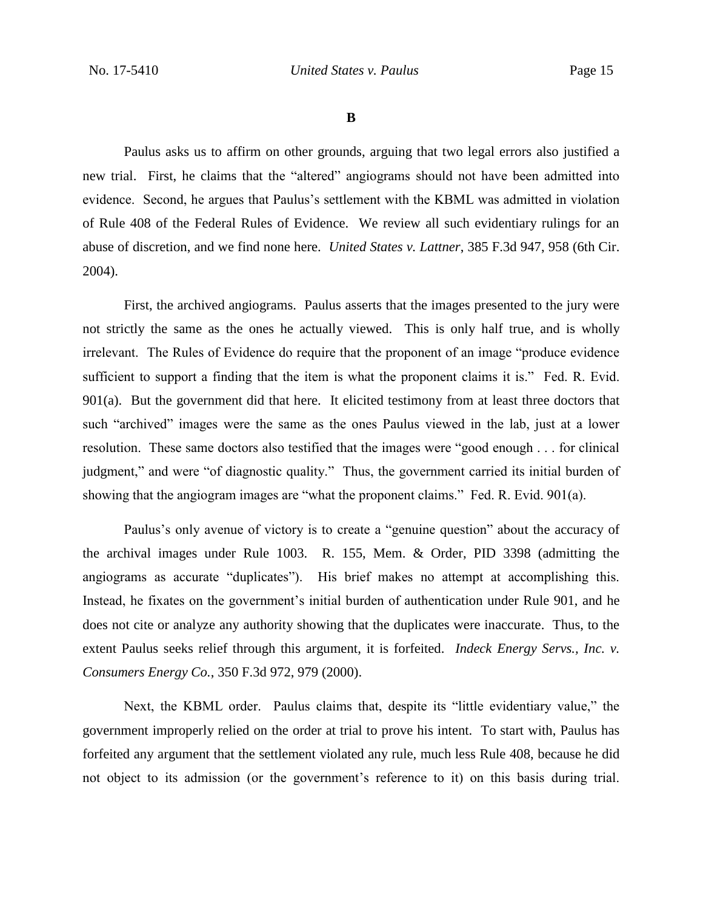**B**

Paulus asks us to affirm on other grounds, arguing that two legal errors also justified a new trial. First, he claims that the "altered" angiograms should not have been admitted into evidence. Second, he argues that Paulus's settlement with the KBML was admitted in violation of Rule 408 of the Federal Rules of Evidence. We review all such evidentiary rulings for an abuse of discretion, and we find none here. *United States v. Lattner*, 385 F.3d 947, 958 (6th Cir. 2004).

First, the archived angiograms. Paulus asserts that the images presented to the jury were not strictly the same as the ones he actually viewed. This is only half true, and is wholly irrelevant. The Rules of Evidence do require that the proponent of an image "produce evidence sufficient to support a finding that the item is what the proponent claims it is." Fed. R. Evid.  $901(a)$ . But the government did that here. It elicited testimony from at least three doctors that such "archived" images were the same as the ones Paulus viewed in the lab, just at a lower resolution. These same doctors also testified that the images were "good enough . . . for clinical judgment," and were "of diagnostic quality." Thus, the government carried its initial burden of showing that the angiogram images are "what the proponent claims." Fed. R. Evid. 901(a).

Paulus's only avenue of victory is to create a "genuine question" about the accuracy of the archival images under Rule 1003. R. 155, Mem. & Order, PID 3398 (admitting the angiograms as accurate "duplicates"). His brief makes no attempt at accomplishing this. Instead, he fixates on the government's initial burden of authentication under Rule 901, and he does not cite or analyze any authority showing that the duplicates were inaccurate. Thus, to the extent Paulus seeks relief through this argument, it is forfeited. *Indeck Energy Servs., Inc. v. Consumers Energy Co.*, 350 F.3d 972, 979 (2000).

Next, the KBML order. Paulus claims that, despite its "little evidentiary value," the government improperly relied on the order at trial to prove his intent. To start with, Paulus has forfeited any argument that the settlement violated any rule, much less Rule 408, because he did not object to its admission (or the government's reference to it) on this basis during trial.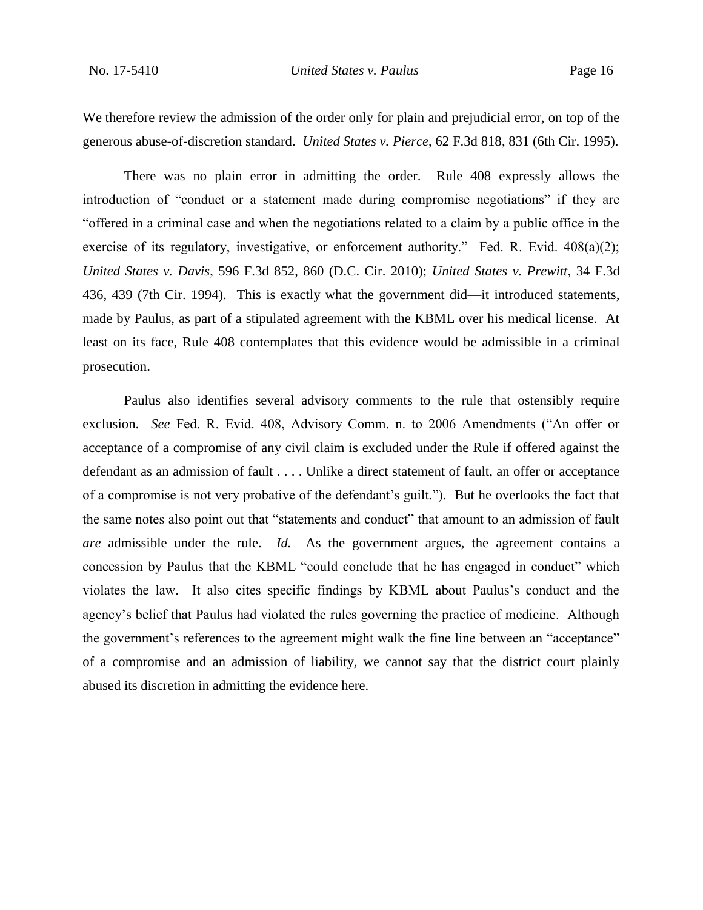We therefore review the admission of the order only for plain and prejudicial error, on top of the generous abuse-of-discretion standard. *United States v. Pierce*, 62 F.3d 818, 831 (6th Cir. 1995).

There was no plain error in admitting the order. Rule 408 expressly allows the introduction of "conduct or a statement made during compromise negotiations" if they are "offered in a criminal case and when the negotiations related to a claim by a public office in the exercise of its regulatory, investigative, or enforcement authority." Fed. R. Evid. 408(a)(2); *United States v. Davis*, 596 F.3d 852, 860 (D.C. Cir. 2010); *United States v. Prewitt*, 34 F.3d 436, 439 (7th Cir. 1994). This is exactly what the government did—it introduced statements, made by Paulus, as part of a stipulated agreement with the KBML over his medical license. At least on its face, Rule 408 contemplates that this evidence would be admissible in a criminal prosecution.

Paulus also identifies several advisory comments to the rule that ostensibly require exclusion. *See* Fed. R. Evid. 408, Advisory Comm. n. to 2006 Amendments ("An offer or acceptance of a compromise of any civil claim is excluded under the Rule if offered against the defendant as an admission of fault . . . . Unlike a direct statement of fault, an offer or acceptance of a compromise is not very probative of the defendant's guilt."). But he overlooks the fact that the same notes also point out that "statements and conduct" that amount to an admission of fault *are* admissible under the rule. *Id.* As the government argues, the agreement contains a concession by Paulus that the KBML "could conclude that he has engaged in conduct" which violates the law. It also cites specific findings by KBML about Paulus's conduct and the agency's belief that Paulus had violated the rules governing the practice of medicine. Although the government's references to the agreement might walk the fine line between an "acceptance" of a compromise and an admission of liability, we cannot say that the district court plainly abused its discretion in admitting the evidence here.